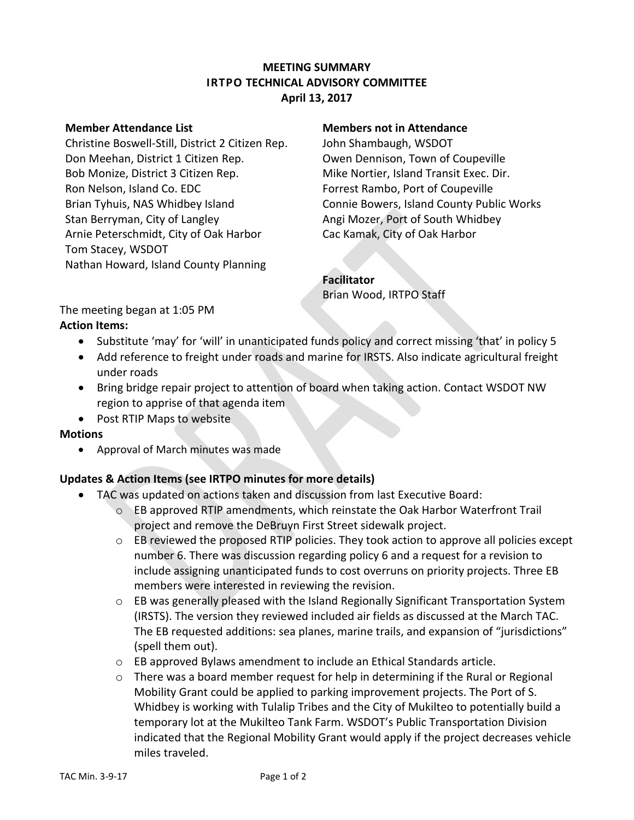## **MEETING SUMMARY IRTPO TECHNICAL ADVISORY COMMITTEE April 13, 2017**

Christine Boswell-Still, District 2 Citizen Rep. John Shambaugh, WSDOT Don Meehan, District 1 Citizen Rep. Owen Dennison, Town of Coupeville Bob Monize, District 3 Citizen Rep. Mike Nortier, Island Transit Exec. Dir. Ron Nelson, Island Co. EDC Forrest Rambo, Port of Coupeville Stan Berryman, City of Langley Angi Mozer, Port of South Whidbey Arnie Peterschmidt, City of Oak Harbor Cac Kamak, City of Oak Harbor Tom Stacey, WSDOT Nathan Howard, Island County Planning

#### **Member Attendance List Members not in Attendance**

Brian Tyhuis, NAS Whidbey Island Connie Bowers, Island County Public Works

# **Facilitator**

Brian Wood, IRTPO Staff

The meeting began at 1:05 PM **Action Items:**

- Substitute 'may' for 'will' in unanticipated funds policy and correct missing 'that' in policy 5
- Add reference to freight under roads and marine for IRSTS. Also indicate agricultural freight under roads
- Bring bridge repair project to attention of board when taking action. Contact WSDOT NW region to apprise of that agenda item
- Post RTIP Maps to website

#### **Motions**

Approval of March minutes was made

## **Updates & Action Items (see IRTPO minutes for more details)**

- TAC was updated on actions taken and discussion from last Executive Board:
	- $\circ$  EB approved RTIP amendments, which reinstate the Oak Harbor Waterfront Trail project and remove the DeBruyn First Street sidewalk project.
	- o EB reviewed the proposed RTIP policies. They took action to approve all policies except number 6. There was discussion regarding policy 6 and a request for a revision to include assigning unanticipated funds to cost overruns on priority projects. Three EB members were interested in reviewing the revision.
	- $\circ$  EB was generally pleased with the Island Regionally Significant Transportation System (IRSTS). The version they reviewed included air fields as discussed at the March TAC. The EB requested additions: sea planes, marine trails, and expansion of "jurisdictions" (spell them out).
	- $\circ$  EB approved Bylaws amendment to include an Ethical Standards article.
	- $\circ$  There was a board member request for help in determining if the Rural or Regional Mobility Grant could be applied to parking improvement projects. The Port of S. Whidbey is working with Tulalip Tribes and the City of Mukilteo to potentially build a temporary lot at the Mukilteo Tank Farm. WSDOT's Public Transportation Division indicated that the Regional Mobility Grant would apply if the project decreases vehicle miles traveled.